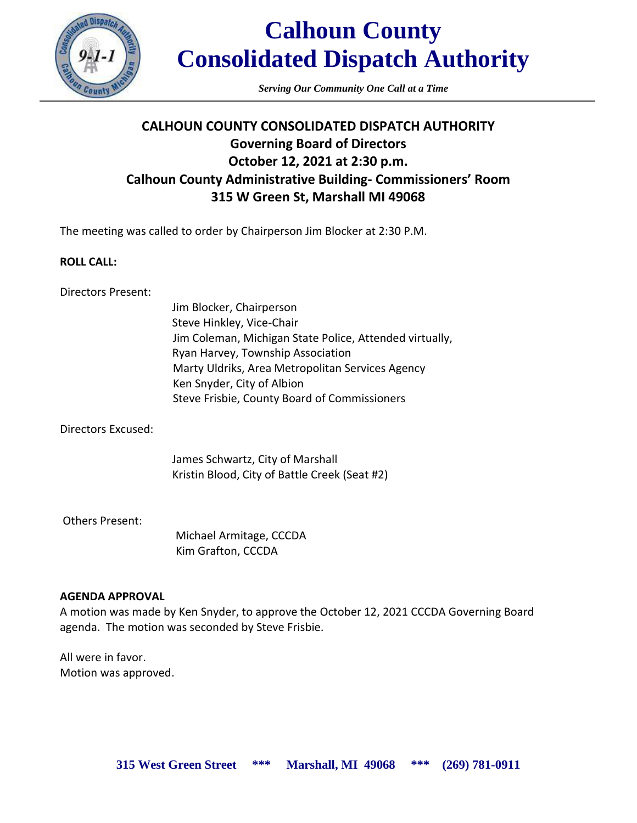

*Serving Our Community One Call at a Time*

# **CALHOUN COUNTY CONSOLIDATED DISPATCH AUTHORITY Governing Board of Directors October 12, 2021 at 2:30 p.m. Calhoun County Administrative Building- Commissioners' Room 315 W Green St, Marshall MI 49068**

The meeting was called to order by Chairperson Jim Blocker at 2:30 P.M.

## **ROLL CALL:**

Directors Present:

Jim Blocker, Chairperson Steve Hinkley, Vice-Chair Jim Coleman, Michigan State Police, Attended virtually, Ryan Harvey, Township Association Marty Uldriks, Area Metropolitan Services Agency Ken Snyder, City of Albion Steve Frisbie, County Board of Commissioners

Directors Excused:

James Schwartz, City of Marshall Kristin Blood, City of Battle Creek (Seat #2)

Others Present:

 Michael Armitage, CCCDA Kim Grafton, CCCDA

### **AGENDA APPROVAL**

A motion was made by Ken Snyder, to approve the October 12, 2021 CCCDA Governing Board agenda. The motion was seconded by Steve Frisbie.

All were in favor. Motion was approved.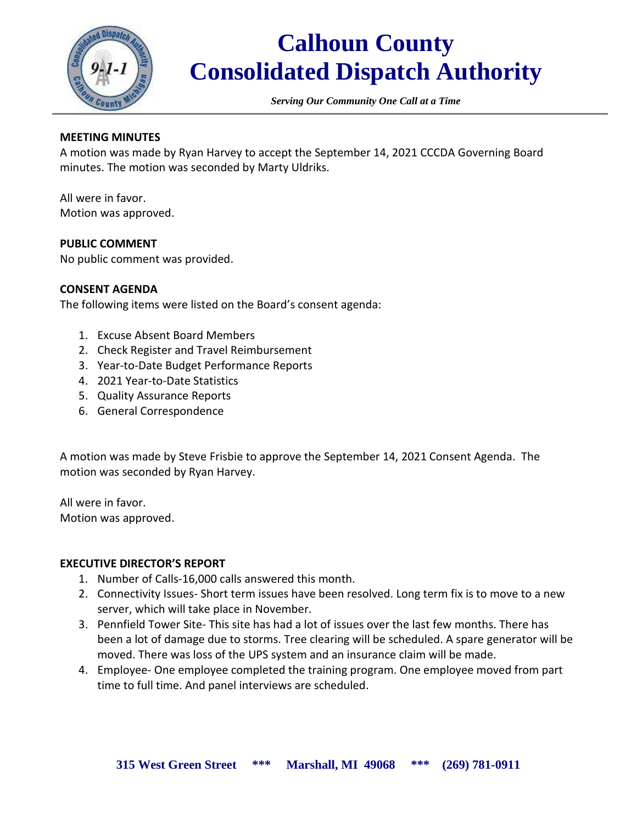

*Serving Our Community One Call at a Time*

# **MEETING MINUTES**

A motion was made by Ryan Harvey to accept the September 14, 2021 CCCDA Governing Board minutes. The motion was seconded by Marty Uldriks.

All were in favor. Motion was approved.

#### **PUBLIC COMMENT**

No public comment was provided.

#### **CONSENT AGENDA**

The following items were listed on the Board's consent agenda:

- 1. Excuse Absent Board Members
- 2. Check Register and Travel Reimbursement
- 3. Year-to-Date Budget Performance Reports
- 4. 2021 Year-to-Date Statistics
- 5. Quality Assurance Reports
- 6. General Correspondence

A motion was made by Steve Frisbie to approve the September 14, 2021 Consent Agenda. The motion was seconded by Ryan Harvey.

All were in favor. Motion was approved.

#### **EXECUTIVE DIRECTOR'S REPORT**

- 1. Number of Calls-16,000 calls answered this month.
- 2. Connectivity Issues- Short term issues have been resolved. Long term fix is to move to a new server, which will take place in November.
- 3. Pennfield Tower Site- This site has had a lot of issues over the last few months. There has been a lot of damage due to storms. Tree clearing will be scheduled. A spare generator will be moved. There was loss of the UPS system and an insurance claim will be made.
- 4. Employee- One employee completed the training program. One employee moved from part time to full time. And panel interviews are scheduled.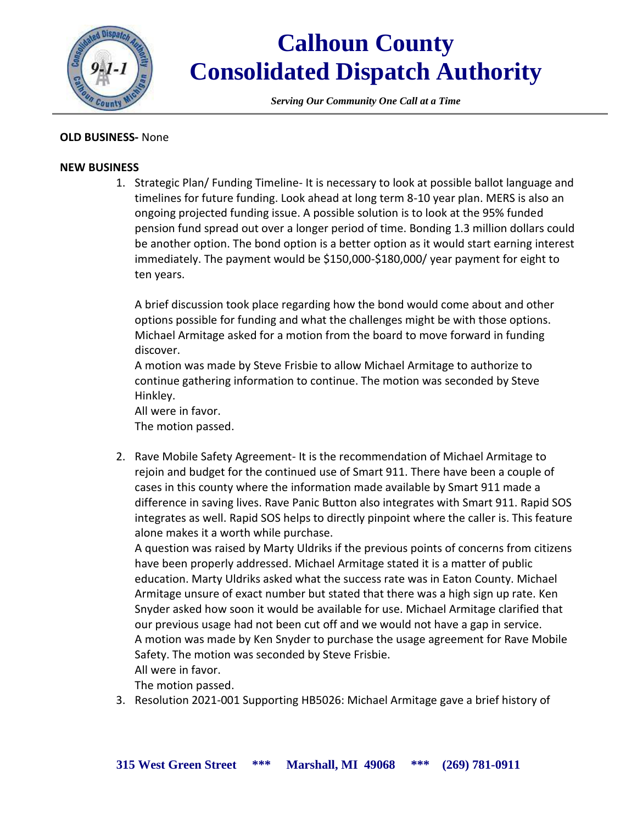

*Serving Our Community One Call at a Time*

### **OLD BUSINESS-** None

#### **NEW BUSINESS**

1. Strategic Plan/ Funding Timeline- It is necessary to look at possible ballot language and timelines for future funding. Look ahead at long term 8-10 year plan. MERS is also an ongoing projected funding issue. A possible solution is to look at the 95% funded pension fund spread out over a longer period of time. Bonding 1.3 million dollars could be another option. The bond option is a better option as it would start earning interest immediately. The payment would be \$150,000-\$180,000/ year payment for eight to ten years.

A brief discussion took place regarding how the bond would come about and other options possible for funding and what the challenges might be with those options. Michael Armitage asked for a motion from the board to move forward in funding discover.

A motion was made by Steve Frisbie to allow Michael Armitage to authorize to continue gathering information to continue. The motion was seconded by Steve Hinkley.

All were in favor. The motion passed.

2. Rave Mobile Safety Agreement- It is the recommendation of Michael Armitage to rejoin and budget for the continued use of Smart 911. There have been a couple of cases in this county where the information made available by Smart 911 made a difference in saving lives. Rave Panic Button also integrates with Smart 911. Rapid SOS integrates as well. Rapid SOS helps to directly pinpoint where the caller is. This feature alone makes it a worth while purchase.

A question was raised by Marty Uldriks if the previous points of concerns from citizens have been properly addressed. Michael Armitage stated it is a matter of public education. Marty Uldriks asked what the success rate was in Eaton County. Michael Armitage unsure of exact number but stated that there was a high sign up rate. Ken Snyder asked how soon it would be available for use. Michael Armitage clarified that our previous usage had not been cut off and we would not have a gap in service. A motion was made by Ken Snyder to purchase the usage agreement for Rave Mobile Safety. The motion was seconded by Steve Frisbie.

All were in favor.

The motion passed.

3. Resolution 2021-001 Supporting HB5026: Michael Armitage gave a brief history of